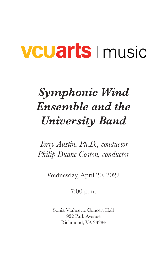# **VCUarts** I music

## *Symphonic Wind Ensemble and the University Band*

*Terry Austin, Ph.D., conductor Philip Duane Coston, conductor*

Wednesday, April 20, 2022

7:00 p.m.

Sonia Vlahcevic Concert Hall 922 Park Avenue Richmond, VA 23284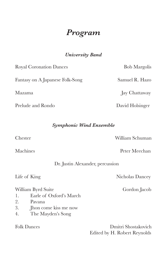## *Program*

#### *University Band*

Royal Coronation Dances Bob Margolis

Fantasy on A Japanese Folk-Song Samuel R. Hazo

Prelude and Rondo David Holsinger

*Symphonic Wind Ensemble*

Chester William Schuman

Machines **Peter Meechan** 

Dr. Justin Alexander, percussion

Life of King Nicholas Dancey

William Byrd Suite Gordon Jacob

- 1. Earle of Oxford's March
- 2. Pavana
- 3. Jhon come kiss me now
- 4. The Mayden's Song

Folk Dances Dmitri Shostakovich Edited by H. Robert Reynolds

Mazama Jay Chattaway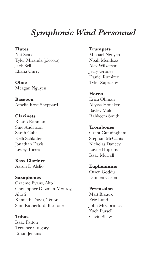## *Symphonic Wind Personnel*

#### **Flutes**

Nat Scida Tyler Miranda (piccolo) Jack Bell Eliana Curry

**Oboe** Meagan Nguyen

**Bassoon** Amelia Rose Sheppard

#### **Clarinets**

Raatib Rahman Sine Anderson Sarah Cuba Kelli Schlatter Jonathan Davis Lesley Torres

**Bass Clarinet** Aaron D'Alelio

#### **Saxophones**

Graeme Evans, Alto 1 Christopher Guzman-Monroy, Alto 2 Kenneth Travis, Tenor Sam Rutherford, Baritone

#### **Tubas**

Isaac Patton Terrance Gregory Ethan Jenkins

#### **Trumpets**

Michael Nguyen Noah Mendoza Alex Wilkerson Jerry Grimes Daniel Ramirez Tyler Zaprazny

#### **Horns**

Erica Ohman Allyssa Honaker Bayley Malo Rahkeem Smith

#### **Trombones**

Grant Cunningham Stephan McCants Nicholas Dancey Layne Hopkins Isaac Murrell

**Euphoniums**

Owen Goddu Damien Cason

#### **Percussion**

Matt Breaux Eric Lund John McCormick Zach Pursell Gavin Shaw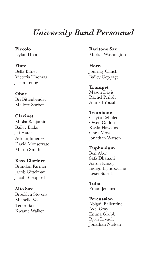### *University Band Personnel*

**Piccolo** Dylan Hood

**Flute** Bella Bitner Victoria Thomas Jason Leung

**Oboe** Bri Bittenbender Mallory Sorber

#### **Clarinet** Mioka Benjamin Bailey Blake Jai Hatch Adrian Jimenez David Monserrate

#### **Bass Clarinet**

Mason Smith

Brandon Farmer Jacob Gittelman Jacob Sheppard

#### **Alto Sax**

Brooklyn Stevens Michelle Vo Tenor Sax Kwame Walker

**Baritone Sax** Markal Washington

**Horn** Journay Clinch Bailey Coppage

**Trumpet** Mason Davis Rachel Perlish Ahmed Yousif

**Trombone** Claytis Egbulem Owen Goddu Kayla Hawkins Chris Moss Jonathan Watson

#### **Euphonium** Ben Aber

Safa Dhanani Aaron Kinzig Indigo Lightbourne Lexei Staruk

**Tuba** Ethan Jenkins

**Percussion** Abigail Ballentine Axel Gray Emma Grubb Ryan Levault Jonathan Nielsen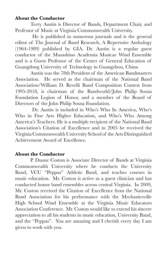#### **About the Conductor**

Terry Austin is Director of Bands, Department Chair, and Professor of Music at Virginia Commonwealth University.

 He is published in numerous journals and is the general editor of The Journal of Band Research, A Repertoire Anthology (1964-1989) published by GIA. Dr. Austin is a regular guest conductor of the Musashino Academia Musicae Wind Ensemble and is a Guest Professor of the Center of General Education of Guangdong University of Technology in Guangzhou, China

 Austin was the 78th President of the American Bandmasters Association. He served as the chairman of the National Band Association/William D. Revelli Band Composition Contest from 1995-2018, is chairman of the Bandworld/John Philip Sousa Foundation Legion of Honor, and a member of the Board of Directors of the John Philip Sousa Foundation.

 Dr. Austin is included in Who's Who In America, Who's Who in Fine Arts Higher Education, and Who's Who Among America's Teachers. He is a multiple recipient of the National Band Association's Citation of Excellence and in 2005 he received the Virginia Commonwealth University School of the Arts Distinguished Achievement Award of Excellence.

#### **About the Conductor**

P. Duane Coston is Associate Director of Bands at Virginia Commonwealth University where he conducts the University Band, VCU "Peppas" Athletic Band, and teaches courses in music education. Mr. Coston is active as a guest clinician and has conducted honor band ensembles across central Virginia. In 2009, Mr. Coston received the Citation of Excellence from the National Band Association for his performance with the Mechanicsville High School Wind Ensemble at the Virginia Music Educators Association Conference. Mr. Coston would like to extend his sincere appreciation to all his students in music education, University Band, and the "Peppas". You are amazing and I cherish every day I am given to work with you.